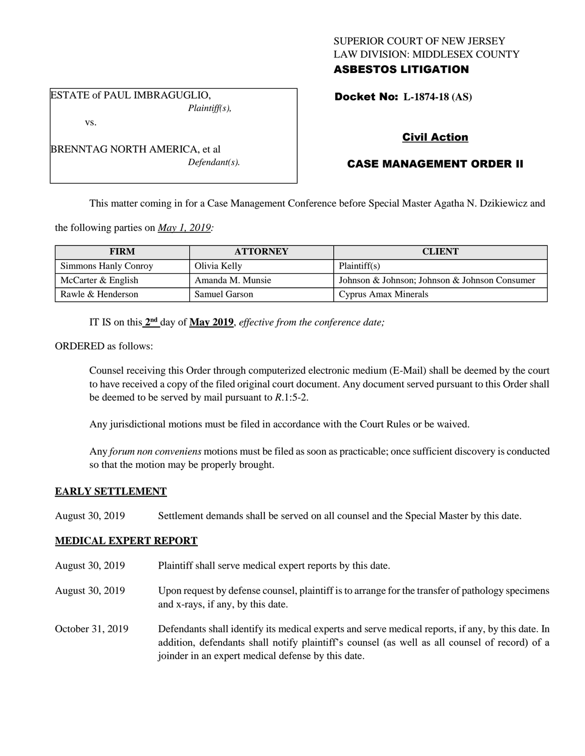## SUPERIOR COURT OF NEW JERSEY LAW DIVISION: MIDDLESEX COUNTY ASBESTOS LITIGATION

ESTATE of PAUL IMBRAGUGLIO, *Plaintiff(s),*

vs.

Docket No: **L-1874-18 (AS)** 

# Civil Action

# CASE MANAGEMENT ORDER II

This matter coming in for a Case Management Conference before Special Master Agatha N. Dzikiewicz and

the following parties on *May 1, 2019:*

| <b>FIRM</b>          | <b>ATTORNEY</b>      | <b>CLIENT</b>                                 |
|----------------------|----------------------|-----------------------------------------------|
| Simmons Hanly Conroy | Olivia Kelly         | Plaintiff(s)                                  |
| McCarter & English   | Amanda M. Munsie     | Johnson & Johnson; Johnson & Johnson Consumer |
| Rawle & Henderson    | <b>Samuel Garson</b> | Cyprus Amax Minerals                          |

IT IS on this  $2<sup>nd</sup>$  day of May 2019, *effective from the conference date*;

ORDERED as follows:

Counsel receiving this Order through computerized electronic medium (E-Mail) shall be deemed by the court to have received a copy of the filed original court document. Any document served pursuant to this Order shall be deemed to be served by mail pursuant to *R*.1:5-2.

Any jurisdictional motions must be filed in accordance with the Court Rules or be waived.

Any *forum non conveniens* motions must be filed as soon as practicable; once sufficient discovery is conducted so that the motion may be properly brought.

## **EARLY SETTLEMENT**

August 30, 2019 Settlement demands shall be served on all counsel and the Special Master by this date.

## **MEDICAL EXPERT REPORT**

- August 30, 2019 Plaintiff shall serve medical expert reports by this date.
- August 30, 2019 Upon request by defense counsel, plaintiff is to arrange for the transfer of pathology specimens and x-rays, if any, by this date.
- October 31, 2019 Defendants shall identify its medical experts and serve medical reports, if any, by this date. In addition, defendants shall notify plaintiff's counsel (as well as all counsel of record) of a joinder in an expert medical defense by this date.

BRENNTAG NORTH AMERICA, et al *Defendant(s).*